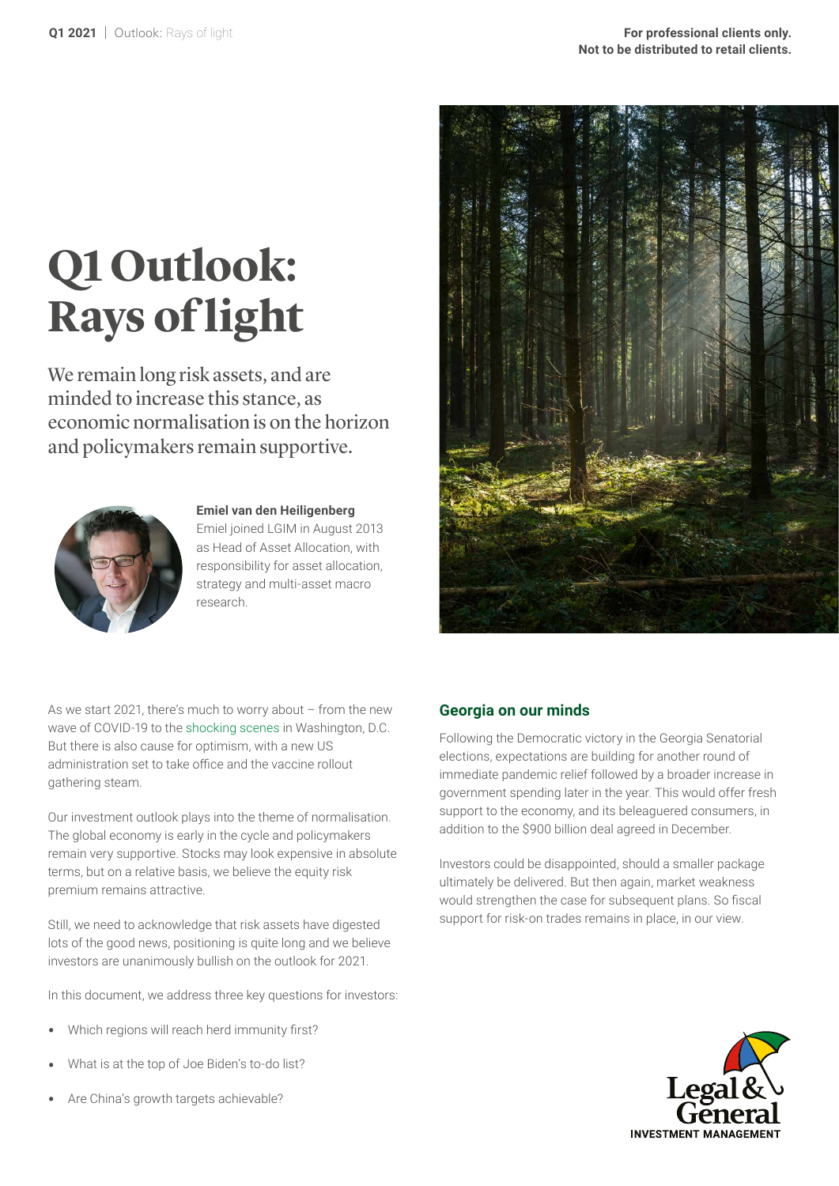# **Q1 Outlook: Rays of light**

We remain long risk assets, and are minded to increase this stance, as economic normalisation is on the horizon and policymakers remain supportive.



#### **Emiel van den Heiligenberg**

Emiel joined LGIM in August 2013 as Head of Asset Allocation, with responsibility for asset allocation, strategy and multi-asset macro research.



As we start 2021, there's much to worry about – from the new wave of COVID-19 to the [shocking scenes](https://www.lgimblog.com/categories/markets-and-economics/economics/the-turmoil-in-washington-and-joe-biden-s-first-100-days/) in Washington, D.C. But there is also cause for optimism, with a new US administration set to take office and the vaccine rollout gathering steam.

Our investment outlook plays into the theme of normalisation. The global economy is early in the cycle and policymakers remain very supportive. Stocks may look expensive in absolute terms, but on a relative basis, we believe the equity risk premium remains attractive.

Still, we need to acknowledge that risk assets have digested lots of the good news, positioning is quite long and we believe investors are unanimously bullish on the outlook for 2021.

In this document, we address three key questions for investors:

- Which regions will reach herd immunity first?
- What is at the top of Joe Biden's to-do list?
- Are China's growth targets achievable?

## **Georgia on our minds**

Following the Democratic victory in the Georgia Senatorial elections, expectations are building for another round of immediate pandemic relief followed by a broader increase in government spending later in the year. This would offer fresh support to the economy, and its beleaguered consumers, in addition to the \$900 billion deal agreed in December.

Investors could be disappointed, should a smaller package ultimately be delivered. But then again, market weakness would strengthen the case for subsequent plans. So fiscal support for risk-on trades remains in place, in our view.

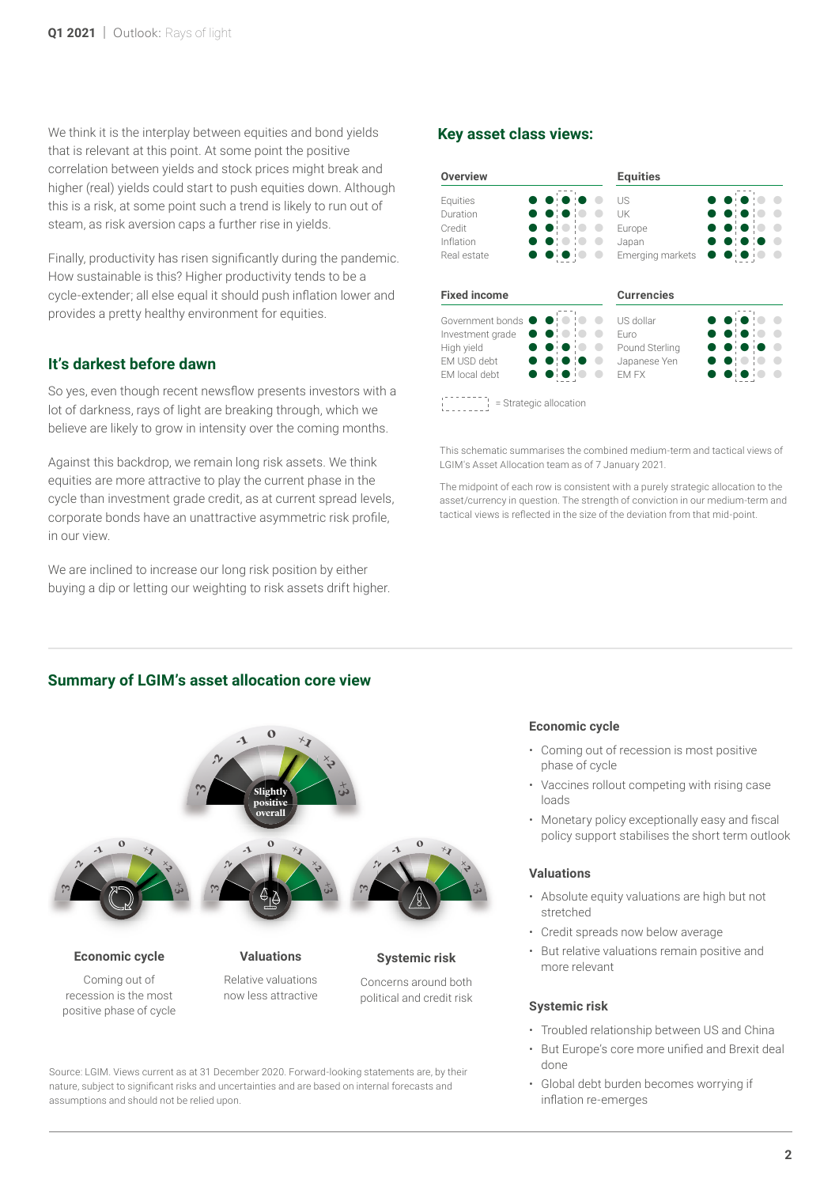We think it is the interplay between equities and bond yields that is relevant at this point. At some point the positive correlation between yields and stock prices might break and higher (real) yields could start to push equities down. Although this is a risk, at some point such a trend is likely to run out of steam, as risk aversion caps a further rise in yields.

Finally, productivity has risen significantly during the pandemic. How sustainable is this? Higher productivity tends to be a cycle-extender; all else equal it should push inflation lower and provides a pretty healthy environment for equities.

### **It's darkest before dawn**

So yes, even though recent newsflow presents investors with a lot of darkness, rays of light are breaking through, which we believe are likely to grow in intensity over the coming months.

Against this backdrop, we remain long risk assets. We think equities are more attractive to play the current phase in the cycle than investment grade credit, as at current spread levels, corporate bonds have an unattractive asymmetric risk profile, in our view.

We are inclined to increase our long risk position by either buying a dip or letting our weighting to risk assets drift higher.

## **Key asset class views:**

| <b>Overview</b>     |   | <b>Equities</b>   |  |
|---------------------|---|-------------------|--|
| Equities            |   | US                |  |
| Duration            |   | UK                |  |
| Credit              |   | Europe            |  |
| Inflation           | . | Japan             |  |
| Real estate         |   | Emerging markets  |  |
|                     |   |                   |  |
|                     |   |                   |  |
| <b>Fixed income</b> |   | <b>Currencies</b> |  |
| Government bonds    |   | US dollar         |  |
| Investment grade    |   | Furo              |  |
| High yield          |   | Pound Sterling    |  |
| EM USD debt         |   | Japanese Yen      |  |

 $\frac{1}{2}$  = Strategic allocation

This schematic summarises the combined medium-term and tactical views of LGIM's Asset Allocation team as of 7 January 2021.

The midpoint of each row is consistent with a purely strategic allocation to the asset/currency in question. The strength of conviction in our medium-term and tactical views is reflected in the size of the deviation from that mid-point.

#### **Summary of LGIM's asset allocation core view**



**Economic cycle** 

- Coming out of recession is most positive phase of cycle
- Vaccines rollout competing with rising case loads
- Monetary policy exceptionally easy and fiscal policy support stabilises the short term outlook

#### **Valuations**

- Absolute equity valuations are high but not stretched
- Credit spreads now below average
- But relative valuations remain positive and more relevant

#### **Systemic risk**

- Troubled relationship between US and China
- But Europe's core more unified and Brexit deal done
- Global debt burden becomes worrying if inflation re-emerges

Source: LGIM. Views current as at 31 December 2020. Forward-looking statements are, by their nature, subject to significant risks and uncertainties and are based on internal forecasts and assumptions and should not be relied upon.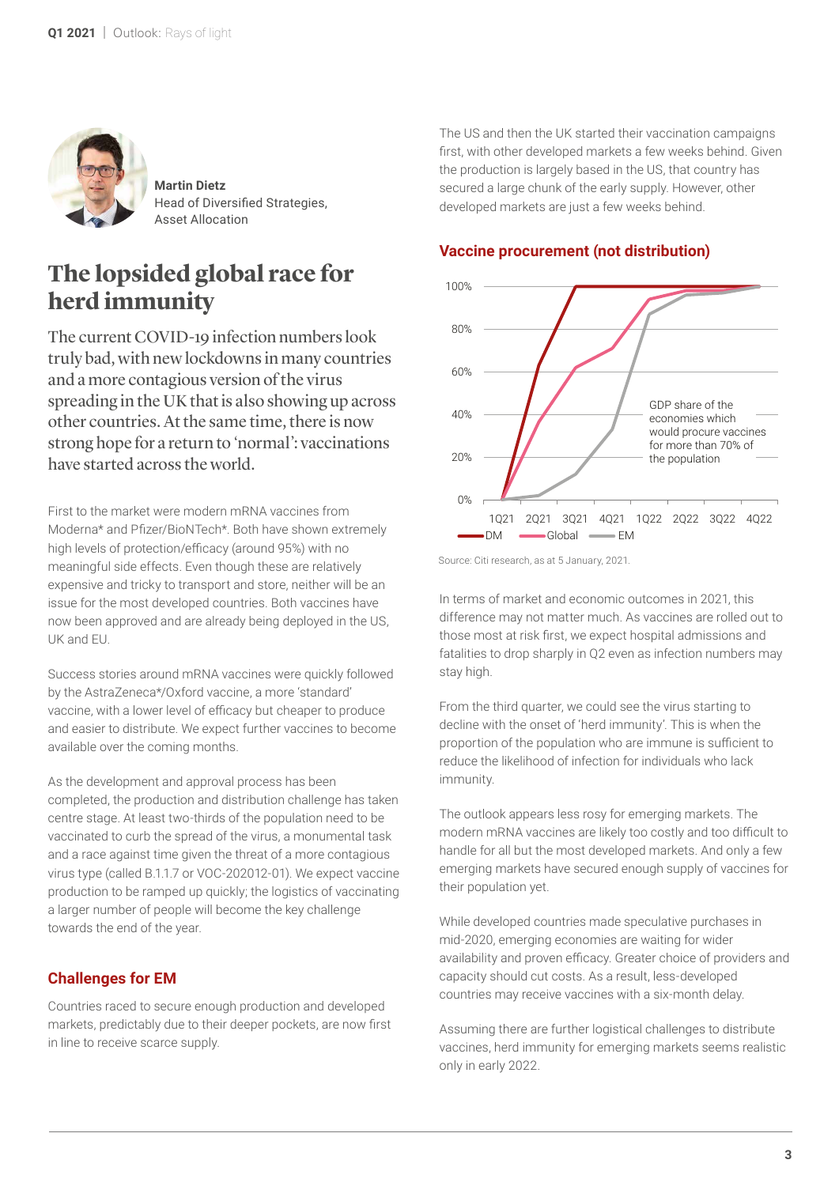

**Martin Dietz** Head of Diversified Strategies, Asset Allocation

# **The lopsided global race for herd immunity**

The current COVID-19 infection numbers look truly bad, with new lockdowns in many countries and a more contagious version of the virus spreading in the UK that is also showing up across other countries. At the same time, there is now strong hope for a return to 'normal': vaccinations have started across the world.

First to the market were modern mRNA vaccines from Moderna\* and Pfizer/BioNTech\*. Both have shown extremely high levels of protection/efficacy (around 95%) with no meaningful side effects. Even though these are relatively expensive and tricky to transport and store, neither will be an issue for the most developed countries. Both vaccines have now been approved and are already being deployed in the US, UK and EU.

Success stories around mRNA vaccines were quickly followed by the AstraZeneca\*/Oxford vaccine, a more 'standard' vaccine, with a lower level of efficacy but cheaper to produce and easier to distribute. We expect further vaccines to become available over the coming months.

As the development and approval process has been completed, the production and distribution challenge has taken centre stage. At least two-thirds of the population need to be vaccinated to curb the spread of the virus, a monumental task and a race against time given the threat of a more contagious virus type (called B.1.1.7 or VOC-202012-01). We expect vaccine production to be ramped up quickly; the logistics of vaccinating a larger number of people will become the key challenge towards the end of the year.

## **Challenges for EM**

Countries raced to secure enough production and developed markets, predictably due to their deeper pockets, are now first in line to receive scarce supply.

The US and then the UK started their vaccination campaigns first, with other developed markets a few weeks behind. Given the production is largely based in the US, that country has secured a large chunk of the early supply. However, other developed markets are just a few weeks behind.

### **Vaccine procurement (not distribution)**



Source: Citi research, as at 5 January, 2021.

In terms of market and economic outcomes in 2021, this difference may not matter much. As vaccines are rolled out to those most at risk first, we expect hospital admissions and fatalities to drop sharply in Q2 even as infection numbers may stay high.

From the third quarter, we could see the virus starting to decline with the onset of 'herd immunity'. This is when the proportion of the population who are immune is sufficient to reduce the likelihood of infection for individuals who lack immunity.

The outlook appears less rosy for emerging markets. The modern mRNA vaccines are likely too costly and too difficult to handle for all but the most developed markets. And only a few emerging markets have secured enough supply of vaccines for their population yet.

While developed countries made speculative purchases in mid-2020, emerging economies are waiting for wider availability and proven efficacy. Greater choice of providers and capacity should cut costs. As a result, less-developed countries may receive vaccines with a six-month delay.

Assuming there are further logistical challenges to distribute vaccines, herd immunity for emerging markets seems realistic only in early 2022.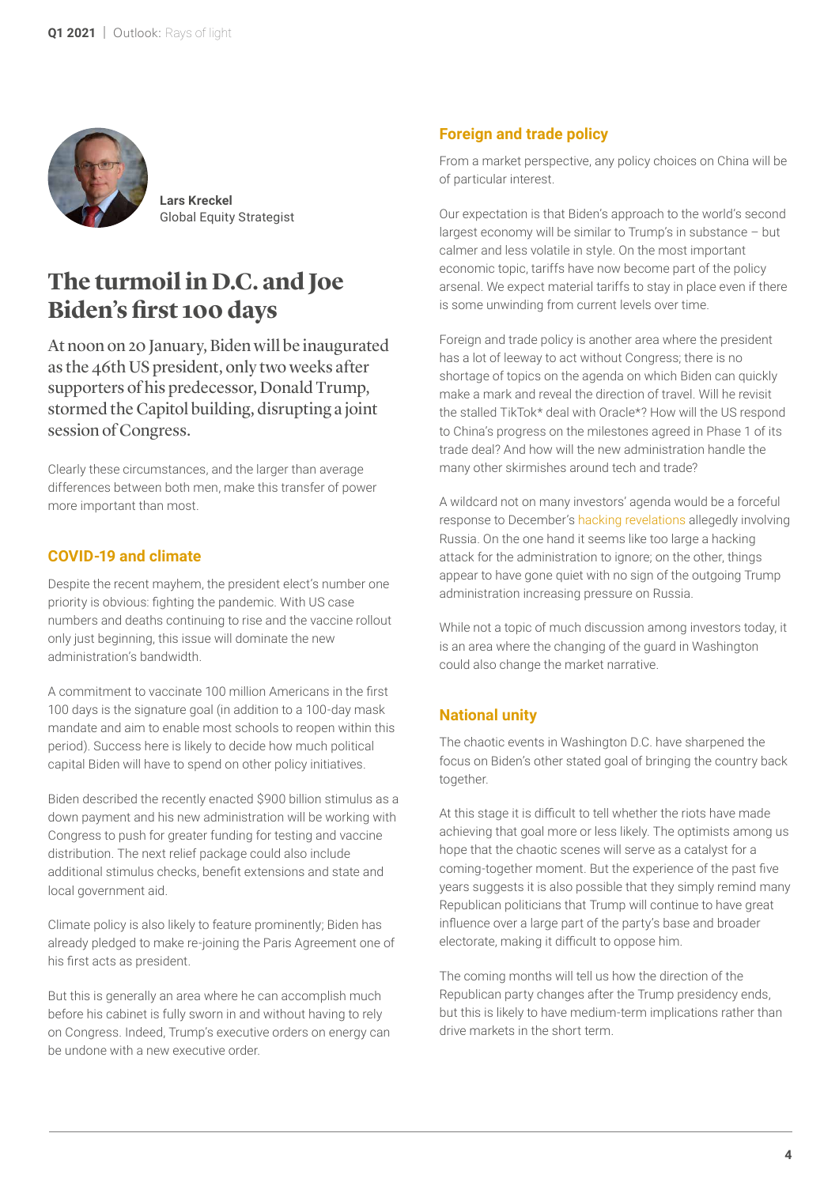

**Lars Kreckel** Global Equity Strategist

# **The turmoil in D.C. and Joe Biden's first 100 days**

At noon on 20 January, Biden will be inaugurated as the 46th US president, only two weeks after supporters of his predecessor, Donald Trump, stormed the Capitol building, disrupting a joint session of Congress.

Clearly these circumstances, and the larger than average differences between both men, make this transfer of power more important than most.

## **COVID-19 and climate**

Despite the recent mayhem, the president elect's number one priority is obvious: fighting the pandemic. With US case numbers and deaths continuing to rise and the vaccine rollout only just beginning, this issue will dominate the new administration's bandwidth.

A commitment to vaccinate 100 million Americans in the first 100 days is the signature goal (in addition to a 100-day mask mandate and aim to enable most schools to reopen within this period). Success here is likely to decide how much political capital Biden will have to spend on other policy initiatives.

Biden described the recently enacted \$900 billion stimulus as a down payment and his new administration will be working with Congress to push for greater funding for testing and vaccine distribution. The next relief package could also include additional stimulus checks, benefit extensions and state and local government aid.

Climate policy is also likely to feature prominently; Biden has already pledged to make re-joining the Paris Agreement one of his first acts as president.

But this is generally an area where he can accomplish much before his cabinet is fully sworn in and without having to rely on Congress. Indeed, Trump's executive orders on energy can be undone with a new executive order.

## **Foreign and trade policy**

From a market perspective, any policy choices on China will be of particular interest.

Our expectation is that Biden's approach to the world's second largest economy will be similar to Trump's in substance – but calmer and less volatile in style. On the most important economic topic, tariffs have now become part of the policy arsenal. We expect material tariffs to stay in place even if there is some unwinding from current levels over time.

Foreign and trade policy is another area where the president has a lot of leeway to act without Congress; there is no shortage of topics on the agenda on which Biden can quickly make a mark and reveal the direction of travel. Will he revisit the stalled TikTok\* deal with Oracle\*? How will the US respond to China's progress on the milestones agreed in Phase 1 of its trade deal? And how will the new administration handle the many other skirmishes around tech and trade?

A wildcard not on many investors' agenda would be a forceful response to December's [hacking revelations](https://www.bbc.com/news/technology-55554715) allegedly involving Russia. On the one hand it seems like too large a hacking attack for the administration to ignore; on the other, things appear to have gone quiet with no sign of the outgoing Trump administration increasing pressure on Russia.

While not a topic of much discussion among investors today, it is an area where the changing of the guard in Washington could also change the market narrative.

## **National unity**

The chaotic events in Washington D.C. have sharpened the focus on Biden's other stated goal of bringing the country back together.

At this stage it is difficult to tell whether the riots have made achieving that goal more or less likely. The optimists among us hope that the chaotic scenes will serve as a catalyst for a coming-together moment. But the experience of the past five years suggests it is also possible that they simply remind many Republican politicians that Trump will continue to have great influence over a large part of the party's base and broader electorate, making it difficult to oppose him.

The coming months will tell us how the direction of the Republican party changes after the Trump presidency ends, but this is likely to have medium-term implications rather than drive markets in the short term.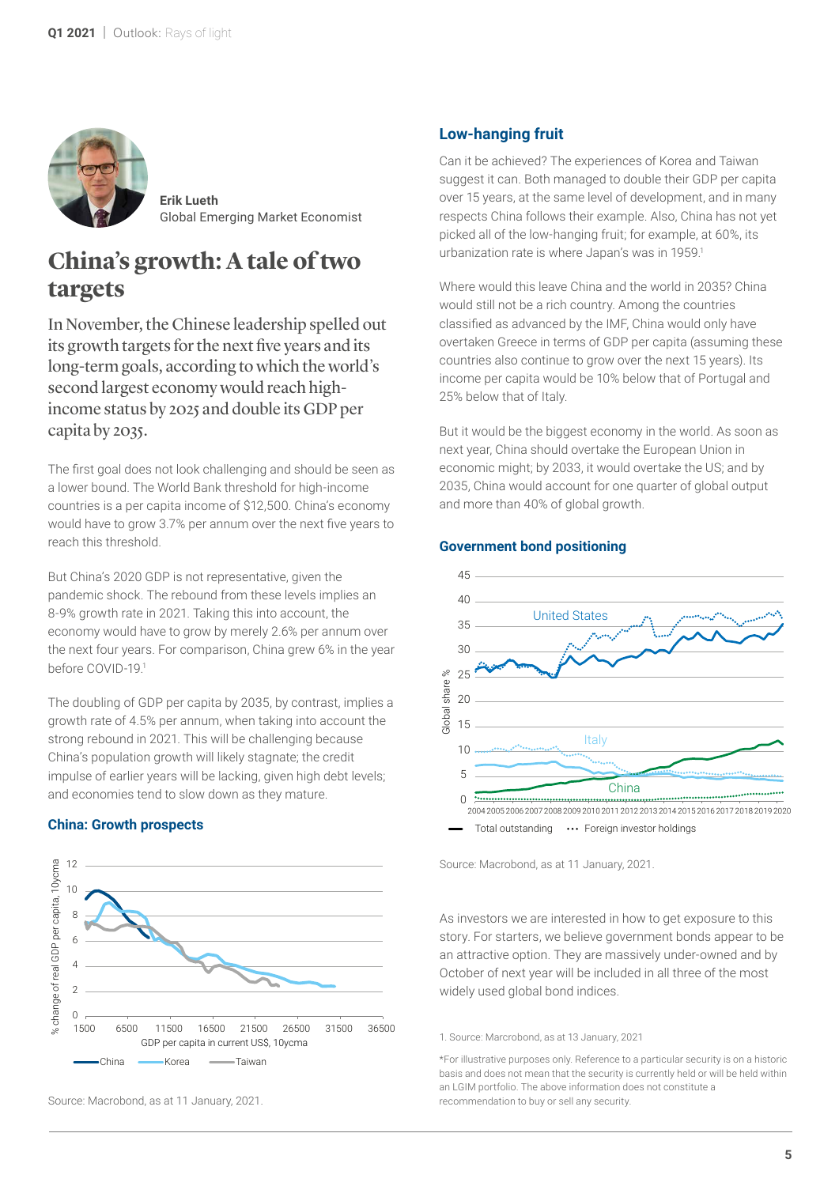

**Erik Lueth** Global Emerging Market Economist

# **China's growth: A tale of two targets**

In November, the Chinese leadership spelled out its growth targets for the next five years and its long-term goals, according to which the world's second largest economy would reach highincome status by 2025 and double its GDP per capita by 2035.

The first goal does not look challenging and should be seen as a lower bound. The World Bank threshold for high-income countries is a per capita income of \$12,500. China's economy would have to grow 3.7% per annum over the next five years to reach this threshold.

But China's 2020 GDP is not representative, given the pandemic shock. The rebound from these levels implies an 8-9% growth rate in 2021. Taking this into account, the economy would have to grow by merely 2.6% per annum over the next four years. For comparison, China grew 6% in the year before COVID-19.1

The doubling of GDP per capita by 2035, by contrast, implies a growth rate of 4.5% per annum, when taking into account the strong rebound in 2021. This will be challenging because China's population growth will likely stagnate; the credit impulse of earlier years will be lacking, given high debt levels; and economies tend to slow down as they mature.

#### **China: Growth prospects**



#### Source: Macrobond, as at 11 January, 2021.

## **Low-hanging fruit**

Can it be achieved? The experiences of Korea and Taiwan suggest it can. Both managed to double their GDP per capita over 15 years, at the same level of development, and in many respects China follows their example. Also, China has not yet picked all of the low-hanging fruit; for example, at 60%, its urbanization rate is where Japan's was in 1959.<sup>1</sup>

Where would this leave China and the world in 2035? China would still not be a rich country. Among the countries classified as advanced by the IMF, China would only have overtaken Greece in terms of GDP per capita (assuming these countries also continue to grow over the next 15 years). Its income per capita would be 10% below that of Portugal and 25% below that of Italy.

But it would be the biggest economy in the world. As soon as next year, China should overtake the European Union in economic might; by 2033, it would overtake the US; and by 2035, China would account for one quarter of global output and more than 40% of global growth.



Source: Macrobond, as at 11 January, 2021.

As investors we are interested in how to get exposure to this story. For starters, we believe government bonds appear to be an attractive option. They are massively under-owned and by October of next year will be included in all three of the most widely used global bond indices.

#### 1. Source: Marcrobond, as at 13 January, 2021

\*For illustrative purposes only. Reference to a particular security is on a historic basis and does not mean that the security is currently held or will be held within an LGIM portfolio. The above information does not constitute a recommendation to buy or sell any security.

## **Government bond positioning**